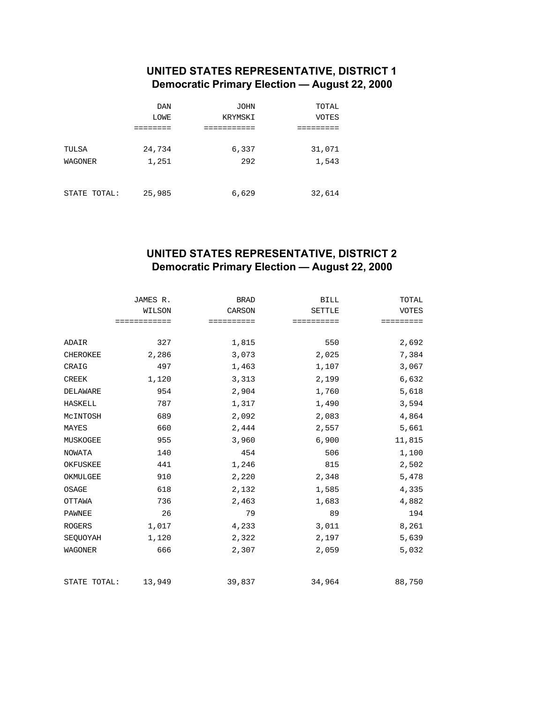## **UNITED STATES REPRESENTATIVE, DISTRICT 1 Democratic Primary Election — August 22, 2000**

|                | <b>DAN</b> | JOHN    | TOTAL        |
|----------------|------------|---------|--------------|
|                | LOWE       | KRYMSKI | <b>VOTES</b> |
|                |            |         |              |
| TULSA          | 24,734     | 6,337   | 31,071       |
| <b>WAGONER</b> | 1,251      | 292     | 1,543        |
|                |            |         |              |
| STATE TOTAL:   | 25,985     | 6,629   | 32,614       |

## **UNITED STATES REPRESENTATIVE, DISTRICT 2 Democratic Primary Election — August 22, 2000**

|                 | JAMES R.     | <b>BRAD</b> | <b>BILL</b>   | TOTAL        |
|-----------------|--------------|-------------|---------------|--------------|
|                 | WILSON       | CARSON      | <b>SETTLE</b> | <b>VOTES</b> |
|                 | ============ | ==========  | ==========    | =========    |
|                 |              |             |               |              |
| ADAIR           | 327          | 1,815       | 550           | 2,692        |
| <b>CHEROKEE</b> | 2,286        | 3,073       | 2,025         | 7,384        |
| CRAIG           | 497          | 1,463       | 1,107         | 3,067        |
| <b>CREEK</b>    | 1,120        | 3,313       | 2,199         | 6,632        |
| DELAWARE        | 954          | 2,904       | 1,760         | 5,618        |
| <b>HASKELL</b>  | 787          | 1,317       | 1,490         | 3,594        |
| MCINTOSH        | 689          | 2,092       | 2,083         | 4,864        |
| MAYES           | 660          | 2,444       | 2,557         | 5,661        |
| MUSKOGEE        | 955          | 3,960       | 6,900         | 11,815       |
| <b>NOWATA</b>   | 140          | 454         | 506           | 1,100        |
| OKFUSKEE        | 441          | 1,246       | 815           | 2,502        |
| OKMULGEE        | 910          | 2,220       | 2,348         | 5,478        |
| OSAGE           | 618          | 2,132       | 1,585         | 4,335        |
| OTTAWA          | 736          | 2,463       | 1,683         | 4,882        |
| <b>PAWNEE</b>   | 26           | 79          | 89            | 194          |
| <b>ROGERS</b>   | 1,017        | 4,233       | 3,011         | 8,261        |
| SEQUOYAH        | 1,120        | 2,322       | 2,197         | 5,639        |
| <b>WAGONER</b>  | 666          | 2,307       | 2,059         | 5,032        |
| STATE TOTAL:    | 13,949       | 39,837      | 34,964        | 88,750       |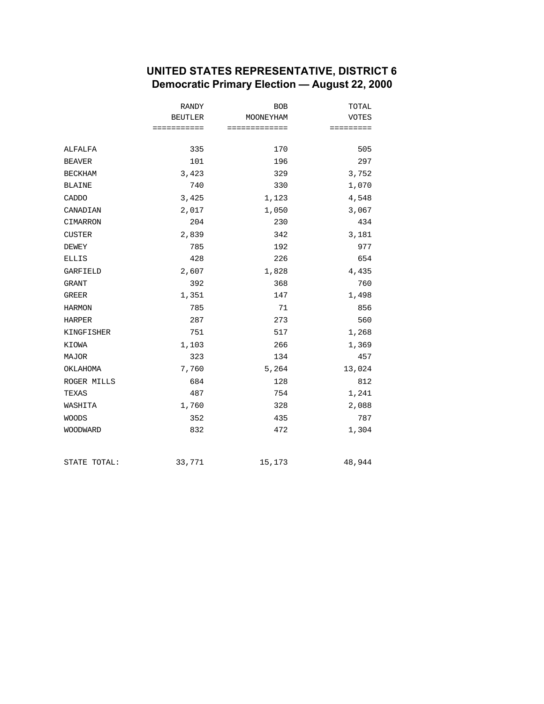### **UNITED STATES REPRESENTATIVE, DISTRICT 6 Democratic Primary Election — August 22, 2000**

|                 | RANDY          | <b>BOB</b>    | TOTAL        |
|-----------------|----------------|---------------|--------------|
|                 | <b>BEUTLER</b> | MOONEYHAM     | <b>VOTES</b> |
|                 | ===========    | ============= | =========    |
| ALFALFA         | 335            | 170           | 505          |
| <b>BEAVER</b>   | 101            | 196           | 297          |
| <b>BECKHAM</b>  | 3,423          | 329           | 3,752        |
| <b>BLAINE</b>   | 740            | 330           | 1,070        |
| CADDO           | 3,425          | 1,123         | 4,548        |
| CANADIAN        | 2,017          | 1,050         | 3,067        |
| CIMARRON        | 204            | 230           | 434          |
| <b>CUSTER</b>   | 2,839          | 342           | 3,181        |
| <b>DEWEY</b>    | 785            | 192           | 977          |
| <b>ELLIS</b>    | 428            | 226           | 654          |
| <b>GARFIELD</b> | 2,607          | 1,828         | 4,435        |
| GRANT           | 392            | 368           | 760          |
| GREER           | 1,351          | 147           | 1,498        |
| <b>HARMON</b>   | 785            | 71            | 856          |
| <b>HARPER</b>   | 287            | 273           | 560          |
| KINGFISHER      | 751            | 517           | 1,268        |
| KIOWA           | 1,103          | 266           | 1,369        |
| <b>MAJOR</b>    | 323            | 134           | 457          |
| OKLAHOMA        | 7,760          | 5,264         | 13,024       |
| ROGER MILLS     | 684            | 128           | 812          |
| TEXAS           | 487            | 754           | 1,241        |
| WASHITA         | 1,760          | 328           | 2,088        |
| <b>WOODS</b>    | 352            | 435           | 787          |
| WOODWARD        | 832            | 472           | 1,304        |
| STATE TOTAL:    | 33,771         | 15,173        | 48,944       |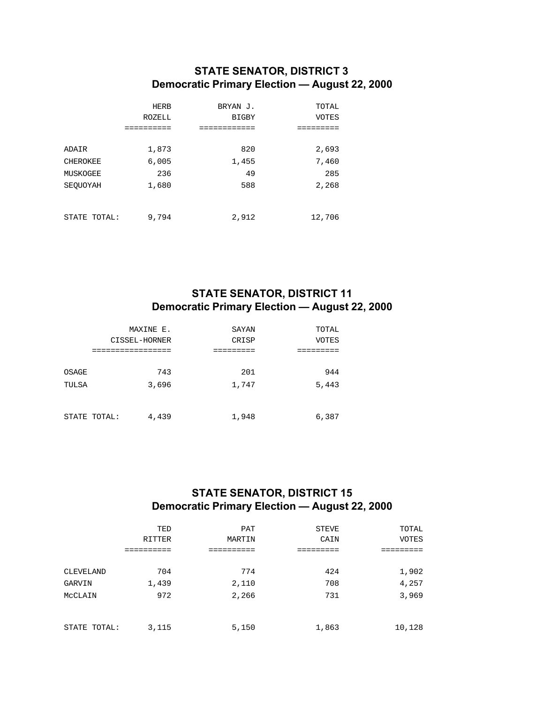## **STATE SENATOR, DISTRICT 3 Democratic Primary Election — August 22, 2000**

|                 | <b>HERB</b> | BRYAN J.     | TOTAL        |
|-----------------|-------------|--------------|--------------|
|                 | ROZELL      | <b>BIGBY</b> | <b>VOTES</b> |
|                 |             |              |              |
|                 |             |              |              |
| ADAIR           | 1,873       | 820          | 2,693        |
| <b>CHEROKEE</b> | 6,005       | 1,455        | 7,460        |
| MUSKOGEE        | 236         | 49           | 285          |
| SEOUOYAH        | 1,680       | 588          | 2,268        |
|                 |             |              |              |
|                 |             |              |              |
| STATE<br>TOTAL: | 9,794       | 2,912        | 12,706       |

### **STATE SENATOR, DISTRICT 11 Democratic Primary Election — August 22, 2000**

|                | MAXINE E.<br>CISSEL-HORNER<br>------------ | SAYAN<br>CRISP | TOTAL<br><b>VOTES</b> |
|----------------|--------------------------------------------|----------------|-----------------------|
| OSAGE<br>TULSA | 743<br>3,696                               | 201<br>1,747   | 944<br>5,443          |
|                | 4,439<br>STATE TOTAL:                      | 1,948          | 6,387                 |

## **STATE SENATOR, DISTRICT 15 Democratic Primary Election — August 22, 2000**

|              | TED           | PAT    | <b>STEVE</b> | TOTAL        |
|--------------|---------------|--------|--------------|--------------|
|              | <b>RITTER</b> | MARTIN | CAIN         | <b>VOTES</b> |
|              |               |        |              |              |
|              |               |        |              |              |
| CLEVELAND    | 704           | 774    | 424          | 1,902        |
| GARVIN       | 1,439         | 2,110  | 708          | 4,257        |
| MCCLAIN      | 972           | 2,266  | 731          | 3,969        |
|              |               |        |              |              |
| STATE TOTAL: | 3,115         | 5,150  | 1,863        | 10,128       |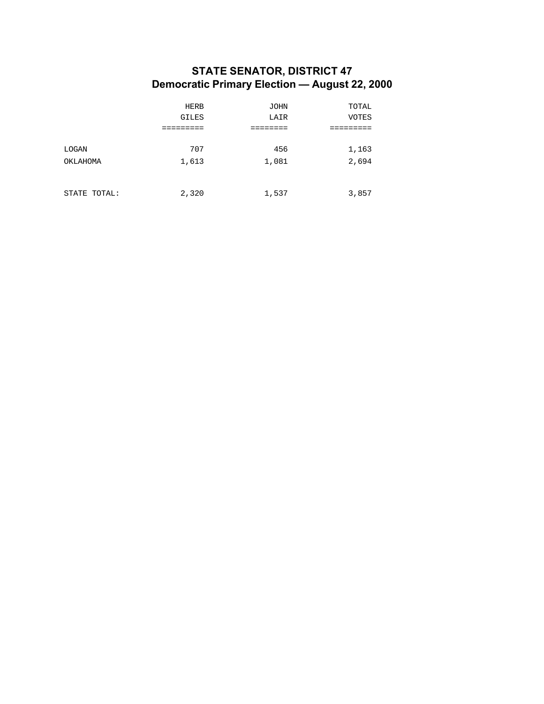### **STATE SENATOR, DISTRICT 47 Democratic Primary Election — August 22, 2000**

|              | <b>HERB</b>  | <b>JOHN</b> | TOTAL        |
|--------------|--------------|-------------|--------------|
|              | <b>GILES</b> | LAIR        | <b>VOTES</b> |
|              |              |             |              |
|              |              |             |              |
| LOGAN        | 707          | 456         | 1,163        |
| OKLAHOMA     | 1,613        | 1,081       | 2,694        |
|              |              |             |              |
|              |              |             |              |
| STATE TOTAL: | 2,320        | 1,537       | 3,857        |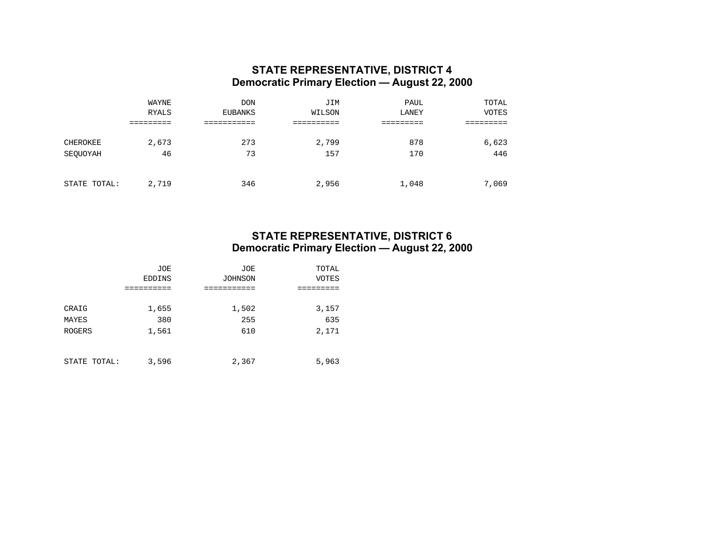#### **STATE REPRESENTATIVE, DISTRICT 4 Democratic Primary Election — August 22, 2000**

|              | WAYNE        | <b>DON</b> | JIM    | PAUL  | TOTAL        |
|--------------|--------------|------------|--------|-------|--------------|
|              | <b>RYALS</b> | EUBANKS    | WILSON | LANEY | <b>VOTES</b> |
|              |              |            |        |       |              |
| CHEROKEE     | 2,673        | 273        | 2,799  | 878   | 6,623        |
| SEQUOYAH     | 46           | 73         | 157    | 170   | 446          |
|              |              |            |        |       |              |
| STATE TOTAL: | 2,719        | 346        | 2,956  | 1,048 | 7,069        |

### **STATE REPRESENTATIVE, DISTRICT 6 Democratic Primary Election — August 22, 2000**

|               | <b>JOE</b>    | <b>JOE</b>     | TOTAL |  |
|---------------|---------------|----------------|-------|--|
|               | <b>EDDINS</b> | <b>JOHNSON</b> | VOTES |  |
|               |               |                |       |  |
|               |               |                |       |  |
| CRAIG         | 1,655         | 1,502          | 3,157 |  |
| MAYES         | 380           | 255            | 635   |  |
| <b>ROGERS</b> | 1,561         | 610            | 2,171 |  |
|               |               |                |       |  |
|               |               |                |       |  |
| STATE TOTAL:  | 3,596         | 2,367          | 5,963 |  |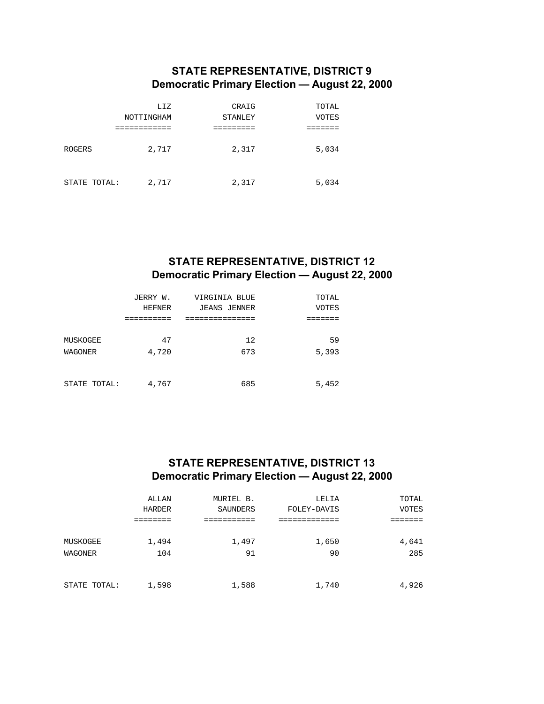### **STATE REPRESENTATIVE, DISTRICT 9 Democratic Primary Election — August 22, 2000**

|              | LIZ        | CRAIG   | TOTAL |
|--------------|------------|---------|-------|
|              | NOTTINGHAM | STANLEY | VOTES |
|              |            |         |       |
| ROGERS       | 2,717      | 2,317   | 5,034 |
| STATE TOTAL: | 2,717      | 2,317   | 5,034 |

### **STATE REPRESENTATIVE, DISTRICT 12 Democratic Primary Election — August 22, 2000**

|                     | JERRY W.<br><b>HEFNER</b> | VIRGINIA BLUE<br><b>JEANS JENNER</b> | TOTAL<br><b>VOTES</b> |
|---------------------|---------------------------|--------------------------------------|-----------------------|
|                     |                           |                                      |                       |
| MUSKOGEE<br>WAGONER | 47<br>4,720               | 12<br>673                            | 59<br>5,393           |
|                     |                           |                                      |                       |
| STATE TOTAL:        | 4,767                     | 685                                  | 5,452                 |

## **STATE REPRESENTATIVE, DISTRICT 13 Democratic Primary Election — August 22, 2000**

|              | ALLAN  | MURIEL B. | LELIA       | TOTAL        |
|--------------|--------|-----------|-------------|--------------|
|              | HARDER | SAUNDERS  | FOLEY-DAVIS | <b>VOTES</b> |
|              |        |           |             |              |
| MUSKOGEE     | 1,494  | 1,497     | 1,650       | 4,641        |
| WAGONER      | 104    | 91        | 90          | 285          |
|              |        |           |             |              |
| STATE TOTAL: | 1,598  | 1,588     | 1,740       | 4,926        |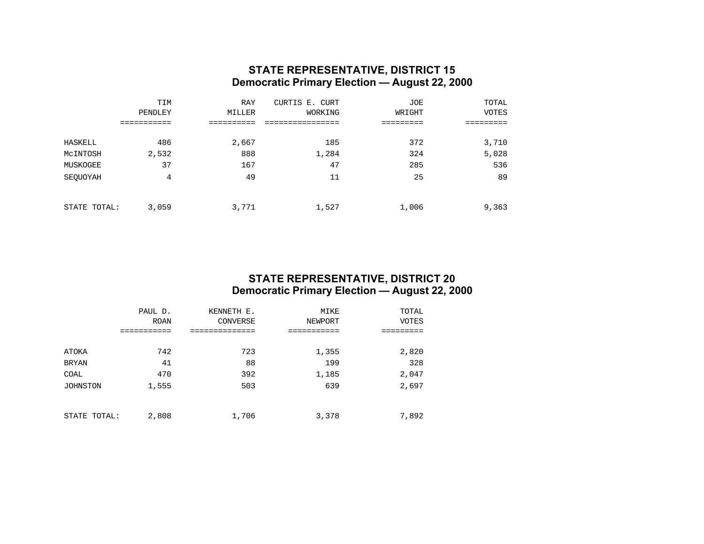#### **STATE REPRESENTATIVE, DISTRICT 15 Democratic Primary Election — August 22, 2000**

|              | TIM     | <b>RAY</b> | CURTIS E. CURT | JOE    | TOTAL |
|--------------|---------|------------|----------------|--------|-------|
|              | PENDLEY | MILLER     | WORKING        | WRIGHT | VOTES |
|              |         |            |                |        |       |
| HASKELL      | 486     | 2,667      | 185            | 372    | 3,710 |
| MCINTOSH     | 2,532   | 888        | 1,284          | 324    | 5,028 |
| MUSKOGEE     | 37      | 167        | 47             | 285    | 536   |
| SEQUOYAH     | 4       | 49         | 11             | 25     | 89    |
|              |         |            |                |        |       |
| STATE TOTAL: | 3,059   | 3,771      | 1,527          | 1,006  | 9,363 |

#### **STATE REPRESENTATIVE, DISTRICT 20 Democratic Primary Election — August 22, 2000**

|                 | PAUL D.     | KENNETH E. | MIKE    | TOTAL        |
|-----------------|-------------|------------|---------|--------------|
|                 | <b>ROAN</b> | CONVERSE   | NEWPORT | <b>VOTES</b> |
|                 |             |            |         |              |
|                 |             |            |         |              |
| ATOKA           | 742         | 723        | 1,355   | 2,820        |
| <b>BRYAN</b>    | 41          | 88         | 199     | 328          |
| COAL            | 470         | 392        | 1,185   | 2,047        |
| <b>JOHNSTON</b> | 1,555       | 503        | 639     | 2,697        |
|                 |             |            |         |              |
|                 |             |            |         |              |
| STATE TOTAL:    | 2,808       | 1,706      | 3,378   | 7,892        |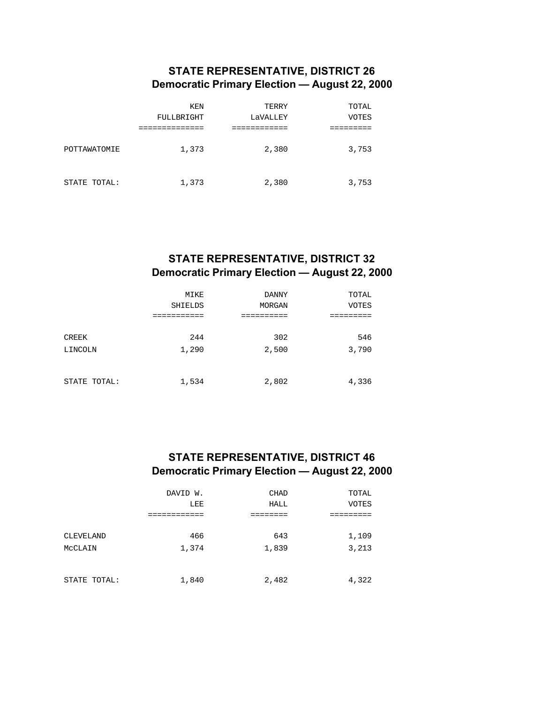### **STATE REPRESENTATIVE, DISTRICT 26 Democratic Primary Election — August 22, 2000**

|              | KEN<br>FULLBRIGHT | TERRY<br>LaVALLEY | TOTAL<br><b>VOTES</b> |
|--------------|-------------------|-------------------|-----------------------|
| POTTAWATOMIE | 1,373             | 2,380             | 3,753                 |
| STATE TOTAL: | 1,373             | 2,380             | 3,753                 |

## **STATE REPRESENTATIVE, DISTRICT 32 Democratic Primary Election — August 22, 2000**

|                  | MIKE<br><b>SHIELDS</b><br>--------- | <b>DANNY</b><br>MORGAN | TOTAL<br><b>VOTES</b> |
|------------------|-------------------------------------|------------------------|-----------------------|
| CREEK<br>LINCOLN | 244<br>1,290                        | 302<br>2,500           | 546<br>3,790          |
| STATE TOTAL:     | 1,534                               | 2,802                  | 4,336                 |

### **STATE REPRESENTATIVE, DISTRICT 46 Democratic Primary Election — August 22, 2000**

|              | DAVID W.<br>LEE | <b>CHAD</b><br>HALL | TOTAL<br><b>VOTES</b> |
|--------------|-----------------|---------------------|-----------------------|
|              |                 |                     |                       |
| CLEVELAND    | 466             | 643                 | 1,109                 |
| MCCLAIN      | 1,374           | 1,839               | 3,213                 |
|              |                 |                     |                       |
| STATE TOTAL: | 1,840           | 2,482               | 4,322                 |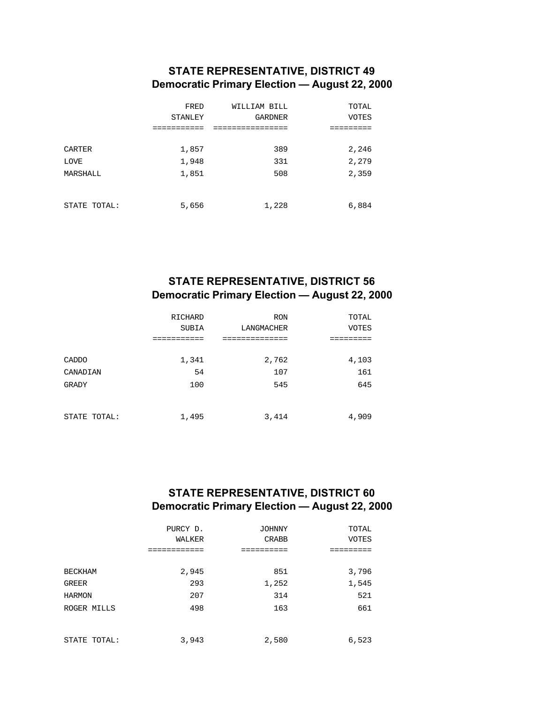### **STATE REPRESENTATIVE, DISTRICT 49 Democratic Primary Election — August 22, 2000**

|               | FRED           | WILLIAM BILL   | TOTAL        |
|---------------|----------------|----------------|--------------|
|               | <b>STANLEY</b> | <b>GARDNER</b> | <b>VOTES</b> |
|               |                |                |              |
|               |                |                |              |
| <b>CARTER</b> | 1,857          | 389            | 2,246        |
| <b>LOVE</b>   | 1,948          | 331            | 2,279        |
| MARSHALL      | 1,851          | 508            | 2,359        |
|               |                |                |              |
|               |                |                |              |
| STATE TOTAL:  | 5,656          | 1,228          | 6,884        |

## **STATE REPRESENTATIVE, DISTRICT 56 Democratic Primary Election — August 22, 2000**

|              | <b>RICHARD</b><br><b>SUBIA</b> | <b>RON</b><br>LANGMACHER | TOTAL<br><b>VOTES</b> |
|--------------|--------------------------------|--------------------------|-----------------------|
|              |                                |                          |                       |
| CADDO        | 1,341                          | 2,762                    | 4,103                 |
| CANADIAN     | 54                             | 107                      | 161                   |
| <b>GRADY</b> | 100                            | 545                      | 645                   |
| STATE TOTAL: | 1,495                          | 3,414                    | 4,909                 |

## **STATE REPRESENTATIVE, DISTRICT 60 Democratic Primary Election — August 22, 2000**

|                | PURCY D.<br>WALKER | <b>JOHNNY</b><br><b>CRABB</b> | TOTAL<br><b>VOTES</b> |
|----------------|--------------------|-------------------------------|-----------------------|
|                |                    |                               |                       |
| <b>BECKHAM</b> | 2,945              | 851                           | 3,796                 |
| <b>GREER</b>   | 293                | 1,252                         | 1,545                 |
| <b>HARMON</b>  | 207                | 314                           | 521                   |
| ROGER MILLS    | 498                | 163                           | 661                   |
| STATE TOTAL:   | 3,943              | 2,580                         | 6,523                 |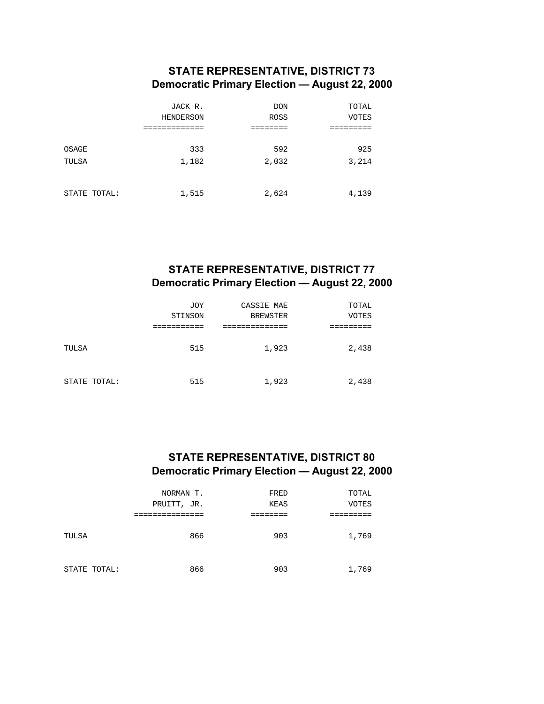### **STATE REPRESENTATIVE, DISTRICT 73 Democratic Primary Election — August 22, 2000**

|              | JACK R.   | <b>DON</b>  | TOTAL        |
|--------------|-----------|-------------|--------------|
|              | HENDERSON | <b>ROSS</b> | <b>VOTES</b> |
|              |           |             |              |
|              |           |             |              |
| OSAGE        | 333       | 592         | 925          |
| TULSA        | 1,182     | 2,032       | 3,214        |
|              |           |             |              |
|              |           |             |              |
| STATE TOTAL: | 1,515     | 2,624       | 4,139        |

### **STATE REPRESENTATIVE, DISTRICT 77 Democratic Primary Election — August 22, 2000**

|              | <b>JOY</b><br>STINSON | CASSIE MAE<br><b>BREWSTER</b> | TOTAL<br><b>VOTES</b> |
|--------------|-----------------------|-------------------------------|-----------------------|
|              |                       |                               |                       |
| TULSA        | 515                   | 1,923                         | 2,438                 |
| STATE TOTAL: | 515                   | 1,923                         | 2,438                 |

## **STATE REPRESENTATIVE, DISTRICT 80 Democratic Primary Election — August 22, 2000**

|              | NORMAN T.<br>PRUITT, JR. | FRED<br><b>KEAS</b> | TOTAL<br><b>VOTES</b> |
|--------------|--------------------------|---------------------|-----------------------|
| TULSA        | ________<br>866          | 903                 | 1,769                 |
| STATE TOTAL: | 866                      | 903                 | 1,769                 |